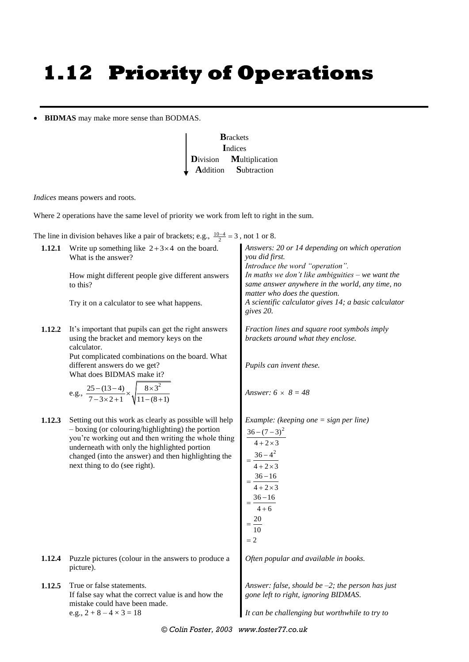## **1.12 Priority of Operations**

**BIDMAS** may make more sense than BODMAS.



*Indices* means powers and roots.

Where 2 operations have the same level of priority we work from left to right in the sum.

The line in division behaves like a pair of brackets; e.g.,  $\frac{10-4}{2} = 3$ , not 1 or 8.

| 1.12.1 | Write up something like $2+3\times4$ on the board.<br>What is the answer?<br>How might different people give different answers<br>to this?<br>Try it on a calculator to see what happens.                                                                                                                                           | Answers: 20 or 14 depending on which operation<br>you did first.<br>Introduce the word "operation".<br>In maths we don't like ambiguities $-$ we want the<br>same answer anywhere in the world, any time, no<br>matter who does the question.<br>A scientific calculator gives 14; a basic calculator<br>gives 20. |
|--------|-------------------------------------------------------------------------------------------------------------------------------------------------------------------------------------------------------------------------------------------------------------------------------------------------------------------------------------|--------------------------------------------------------------------------------------------------------------------------------------------------------------------------------------------------------------------------------------------------------------------------------------------------------------------|
| 1.12.2 | It's important that pupils can get the right answers<br>using the bracket and memory keys on the<br>calculator.<br>Put complicated combinations on the board. What<br>different answers do we get?<br>What does BIDMAS make it?<br>e.g., $\frac{25 - (13 - 4)}{7 - 3 \times 2 + 1} \times \sqrt{\frac{8 \times 3^2}{11 - (8 + 1)}}$ | Fraction lines and square root symbols imply<br>brackets around what they enclose.<br>Pupils can invent these.<br>Answer: $6 \times 8 = 48$                                                                                                                                                                        |
| 1.12.3 | Setting out this work as clearly as possible will help<br>- boxing (or colouring/highlighting) the portion<br>you're working out and then writing the whole thing<br>underneath with only the highlighted portion<br>changed (into the answer) and then highlighting the<br>next thing to do (see right).                           | <i>Example:</i> (keeping one $=$ sign per line)<br>$\frac{36 - (7 - 3)^2}{4 + 2 \times 3}$<br>$=\frac{36-4^2}{4+2\times3}$<br>$=\frac{36-16}{4+2\times3}$<br>$=\frac{36-16}{4+6}$<br>$=\frac{20}{10}$                                                                                                              |
| 1.12.4 | Puzzle pictures (colour in the answers to produce a<br>picture).                                                                                                                                                                                                                                                                    | Often popular and available in books.                                                                                                                                                                                                                                                                              |
| 1.12.5 | True or false statements.<br>If false say what the correct value is and how the<br>mistake could have been made.<br>e.g., $2 + 8 - 4 \times 3 = 18$                                                                                                                                                                                 | Answer: false, should be $-2$ ; the person has just<br>gone left to right, ignoring BIDMAS.<br>It can be challenging but worthwhile to try to                                                                                                                                                                      |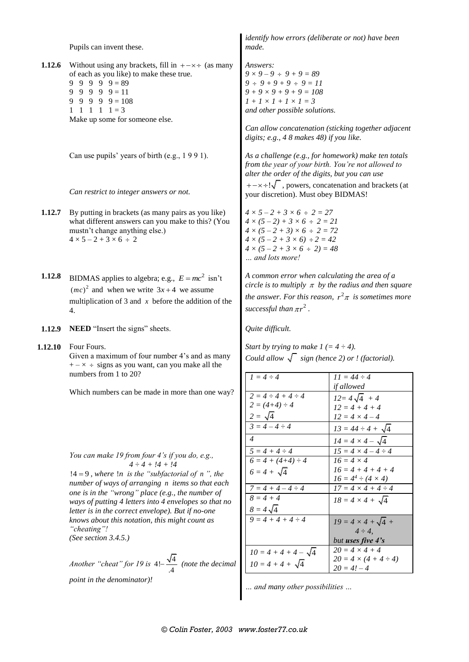|         | Pupils can invent these.                                                                                                                                                                                                                                                                                                                                                                                | identify how errors (deliberate or not) have been<br>made.                                                                                                                                                                                                                                |  |  |  |
|---------|---------------------------------------------------------------------------------------------------------------------------------------------------------------------------------------------------------------------------------------------------------------------------------------------------------------------------------------------------------------------------------------------------------|-------------------------------------------------------------------------------------------------------------------------------------------------------------------------------------------------------------------------------------------------------------------------------------------|--|--|--|
| 1.12.6  | Without using any brackets, fill in $+ - \times \div$ (as many<br>of each as you like) to make these true.<br>$9 \t9 \t9 \t9 \t9 = 89$<br>$9 \t9 \t9 \t9 = 11$<br>9.<br>9<br>$9 \quad 9 = 108$<br>9<br>9<br>$1 \t1 \t1 \t1 \t1 = 3$<br>Make up some for someone else.                                                                                                                                   | Answers:<br>$9 \times 9 - 9 \div 9 + 9 = 89$<br>$9 \div 9 + 9 + 9 \div 9 = 11$<br>$9 + 9 \times 9 + 9 + 9 = 108$<br>$1 + 1 \times 1 + 1 \times 1 = 3$<br>and other possible solutions.<br>Can allow concatenation (sticking together adjacent<br>digits; e.g., 4 8 makes 48) if you like. |  |  |  |
|         | Can use pupils' years of birth (e.g., 1991).<br>Can restrict to integer answers or not.                                                                                                                                                                                                                                                                                                                 | As a challenge (e.g., for homework) make ten totals<br>from the year of your birth. You're not allowed to<br>alter the order of the digits, but you can use<br>$+-x$ : $\sqrt{\ }$ , powers, concatenation and brackets (at<br>your discretion). Must obey BIDMAS!                        |  |  |  |
| 1.12.7  | By putting in brackets (as many pairs as you like)<br>what different answers can you make to this? (You<br>mustn't change anything else.)<br>$4 \times 5 - 2 + 3 \times 6 \div 2$                                                                                                                                                                                                                       | $4 \times 5 - 2 + 3 \times 6 \div 2 = 27$<br>$4 \times (5-2) + 3 \times 6 \div 2 = 21$<br>$4 \times (5 - 2 + 3) \times 6 \div 2 = 72$<br>$4 \times (5 - 2 + 3 \times 6) \div 2 = 42$<br>$4 \times (5 - 2 + 3 \times 6 \div 2) = 48$<br>and lots more!                                     |  |  |  |
| 1.12.8  | BIDMAS applies to algebra; e.g., $E = mc^2$ isn't<br>$(mc)^2$ and when we write $3x+4$ we assume<br>multiplication of 3 and $x$ before the addition of the<br>4.                                                                                                                                                                                                                                        | A common error when calculating the area of a<br>circle is to multiply $\pi$ by the radius and then square<br>the answer. For this reason, $r^2\pi$ is sometimes more<br>successful than $\pi r^2$ .                                                                                      |  |  |  |
| 1.12.9  | NEED "Insert the signs" sheets.                                                                                                                                                                                                                                                                                                                                                                         | Quite difficult.                                                                                                                                                                                                                                                                          |  |  |  |
| 1.12.10 | Four Fours.<br>Given a maximum of four number 4's and as many<br>$+ - \times \div$ signs as you want, can you make all the<br>numbers from 1 to 20?                                                                                                                                                                                                                                                     | Start by trying to make $1 (= 4 \div 4)$ .<br>Could allow $\sqrt{\phantom{a}}$ sign (hence 2) or ! (factorial).<br>$11 = 44 \div 4$                                                                                                                                                       |  |  |  |
|         | Which numbers can be made in more than one way?                                                                                                                                                                                                                                                                                                                                                         | if allowed<br>$2 = 4 \div 4 + 4 \div 4$<br>$12 = 4\sqrt{4}$<br>$2 = (4+4) \div 4$<br>$12 = 4 + 4 + 4$<br>$12 = 4 \times 4 - 4$<br>$13 = 44 \div 4 +$<br>4<br>$14 = 4 \times 4 -$<br>$5 = 4 + 4 \div 4$<br>$15 = 4 \times 4 - 4 \div 4$                                                    |  |  |  |
|         | You can make 19 from four 4's if you do, e.g.,<br>$4 \div 4 + 14 + 14$<br>$!4 = 9$ , where $!n$ is the "subfactorial of n", the<br>number of ways of arranging n items so that each<br>one is in the "wrong" place (e.g., the number of<br>ways of putting 4 letters into 4 envelopes so that no<br>letter is in the correct envelope). But if no-one<br>knows about this notation, this might count as | $6 = 4 + (4+4) \div 4$<br>$16 = 4 \times 4$<br>$16 = 4 + 4 + 4 + 4$<br>$6 = 4 + \sqrt{4}$<br>$16 = 4^4 \div (4 \times 4)$<br>$17 = 4 \times 4 + 4 \div 4$<br>$7 = 4 + 4 - 4 \div 4$<br>$8 = 4 + 4$<br>$18 = 4 \times 4 + \sqrt{4}$<br>$8 = 4\sqrt{4}$<br>$19 = 4 \times 4 + \sqrt{4} +$   |  |  |  |
|         | "cheating"!<br>(See section $3.4.5$ .)<br>Another "cheat" for 19 is $4!-\frac{\sqrt{4}}{4}$ (note the decimal                                                                                                                                                                                                                                                                                           | $4 \div 4$ .<br>but uses five 4's<br>$20 = 4 \times 4 + 4$<br>$10 = 4 + 4 + 4 - \sqrt{4}$<br>$20 = 4 \times (4 + 4 \div 4)$<br>$20 = 4! - 4$                                                                                                                                              |  |  |  |
|         | point in the denominator)!                                                                                                                                                                                                                                                                                                                                                                              |                                                                                                                                                                                                                                                                                           |  |  |  |

*… and many other possibilities …*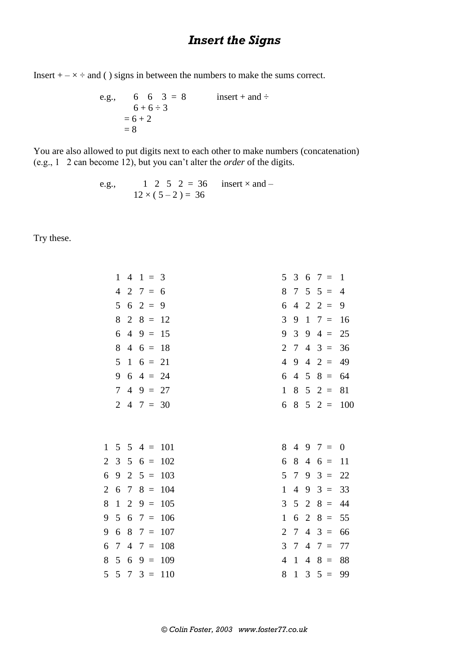## *Insert the Signs*

Insert  $+ - \times \div$  and () signs in between the numbers to make the sums correct.

e.g., 
$$
6 \t 6 \t 3 = 8
$$
 insert + and ÷  
\n $6+6\div 3$   
\n $= 6+2$   
\n $= 8$ 

You are also allowed to put digits next to each other to make numbers (concatenation) (e.g., 1 2 can become 12), but you can't alter the *order* of the digits.

e.g., 
$$
1 \t2 \t5 \t2 = 36
$$
 insert  $\times$  and  $-12 \times (5-2) = 36$ 

Try these.

|                | $\mathbf{1}$   | 4               | $1 =$                      | 3   | 5              | 3              | 6              | 7<br>$\equiv$              | $\mathbf{1}$ |
|----------------|----------------|-----------------|----------------------------|-----|----------------|----------------|----------------|----------------------------|--------------|
|                | $\overline{4}$ | $\overline{2}$  | $7 =$                      | 6   | 8              | 7              | 5              | $5 =$                      | 4            |
|                | 5              | 6               | $2 =$                      | 9   | 6              | $\overline{4}$ | $\overline{2}$ | $\overline{2}$<br>$\equiv$ | 9            |
|                | 8              | $\overline{2}$  | $8 =$                      | 12  | 3              | 9              | $\mathbf{1}$   | $7 =$                      | 16           |
|                | 6              | $\overline{4}$  | $9 =$                      | 15  | 9              | 3              | 9              | $4 =$                      | 25           |
|                | 8              | $\overline{4}$  | $6 =$                      | 18  | $\overline{2}$ | $\tau$         | $\overline{4}$ | 3<br>$\equiv$              | 36           |
|                | 5              | $\mathbf{1}$    | $6 =$                      | 21  | $\overline{4}$ | 9              | 4              | $2 =$                      | 49           |
|                | 9              | 6               | $4 =$                      | 24  | 6              | $\overline{4}$ | 5              | $8 =$                      | 64           |
|                | $\overline{7}$ | $\overline{4}$  | $9 =$                      | 27  | $\mathbf{1}$   | 8              | 5              | $2 =$                      | 81           |
|                | $\overline{2}$ | $\overline{4}$  | $7 = 30$                   |     | 6              | 8              | 5              | $2 =$                      | 100          |
|                |                |                 |                            |     |                |                |                |                            |              |
|                |                |                 |                            |     |                |                |                |                            |              |
| $\mathbf{1}$   | $5\quad 5$     |                 | $\overline{4}$<br>$\equiv$ | 101 | 8              | 4              | 9              | 7<br>$\equiv$              | $\theta$     |
| 2              | 3              | $5\overline{)}$ | $6 =$                      | 102 | 6              | 8              | $\overline{4}$ | $6 =$                      | 11           |
| 6              | 9              | $\overline{2}$  | $5 =$                      | 103 | 5              | $\tau$         | 9              | $3 =$                      | 22           |
| $\overline{2}$ | 6              | 7               | $8 =$                      | 104 | $\mathbf{1}$   | $\overline{4}$ | 9              | $3 =$                      | 33           |
| 8              | $\mathbf{1}$   | $\overline{2}$  | $9 =$                      | 105 | 3              | 5              | $\overline{2}$ | $8 =$                      | 44           |
| 9              | 5              | 6               | $7 =$                      | 106 | $\mathbf{1}$   | 6              | $\overline{2}$ | $8 =$                      | 55           |
| 9              | 6              | 8               | $7 =$                      | 107 | $\overline{2}$ | $\tau$         | $\overline{4}$ | 3<br>$\equiv$              | 66           |
| 6              | 7              | 4               | $7 =$                      | 108 | 3              | 7              | 4              | $7 =$                      | 77           |
| 8              | 5              | 6               | $9 =$                      | 109 | $\overline{4}$ | $\mathbf{1}$   | 4              | $8 =$                      | 88           |
| 5              | 5              | 7               | $3 =$                      | 110 | 8              | $\mathbf{1}$   | 3              | $5 =$                      | 99           |
|                |                |                 |                            |     |                |                |                |                            |              |